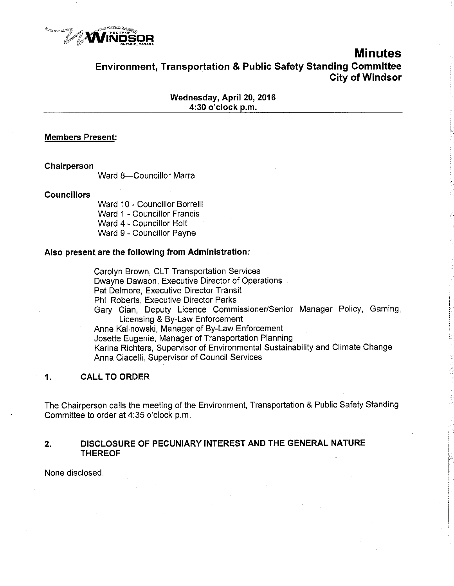

# **Minutes** Environment, Transportation & Public Safety Standing Committee Gity of Windsor

Wednesday, April 20, 2016 4:30 o'clock p.m.

### **Members Present:**

Chairperson

Ward 8-Councillor Marra

**Councillors** 

Ward 10 - Councillor Borrelli Ward 1 - Councillor Francis Ward 4 - Councillor Holt Ward 9 - Councillor Payne

### Also present are the following from Administration;

Carolyn Brown, CLT Transportation Services Dwayne Dawson, Executive Director of Operations Pat Delmore, Executive Director Transit Phil Roberts, Executive Director Parks Gary Cian, Deputy Licence Commissioner/Senior Manager Policy, Gaming, Licensing & By-Law Enforcement Anne Kalinowski, Manager of By-Law Enforcement Josette Eugenie, Manager of Transportation Planning Karina Richters, Supervisor of Environmental Sustainability and Climate Change Anna Ciacelli, Supervisor of Council Services

### 1, CALL TO ORDER

The Chairperson calls the meeting of the Environment, Transportation & Public Safety Standing Committee to order at 4:35 o'clock p.m.

### 2, DISCLOSURE OF PECUNIARY INTEREST AND THE GENERAL NATURE THEREOF

None disclosed.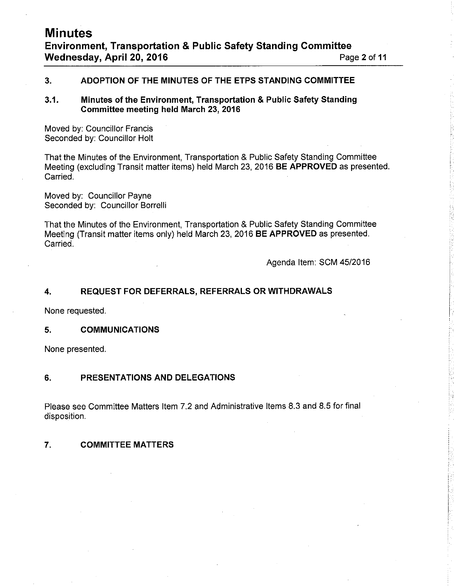### 3. ADOPTION OF THE MINUTES OF THE ETPS STANDING COMMITTEE

### 3.1. Minutes of the Environment, Transportation & Public Safety Standing Committee meeting held March 23, 2016

Moved by: Councillor Francis Seconded by: Councillor Holt

That the Minutes of the Environment, Transportation & Public Safety Standing Committee Meeting (excluding Transit matter items) held March 23, 2016 BE APPROVED as presented. Carried.

Moved by: Councillor Payne Seconded by: Councillor Borrelli

That the Minutes of the Environment, Transportation & Public Safety Standing Committee Meeting (Transit matter items only) held March 23,2016 BE APPROVED as presented. Carried.

Agenda ltem: SCM 45/2016

### 4. REQUEST FOR DEFERRALS, REFERRALS ORWITHDRAWALS

None requested.

### 5. COMMUNICATIONS

None presented.

### 6. PRESENTATIONS AND DELEGATIONS

Please see Committee Matters ltem 7.2 and Administrative ltems 8.3 and 8.5 for final disposition.

### 7. COMMITTEE MATTERS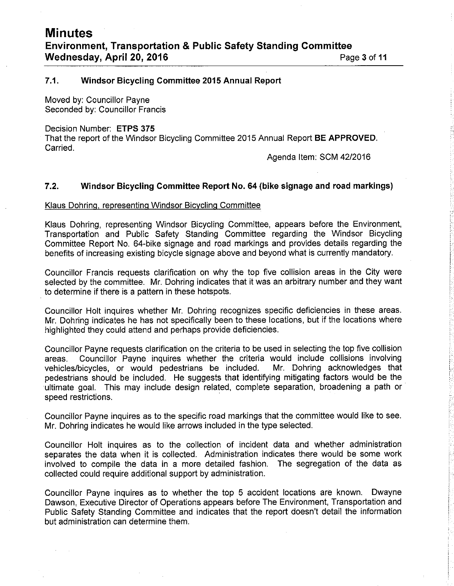### 7.1. Windsor Bicycling Committee 2015 Annual Report

Moved by: Councillor Payne Seconded by: Councillor Francis

Decision Number: ETPS 375

That the report of the Windsor Bicycling Committee 2015 Annual Report BE APPROVED. Carried.

Agenda ltem: SCM 4212016

### 7.2. Windsor Bicycling Committee Report No. 64 (bike signage and road markings)

### Klaus Dohrinq. reoresentinq Windsor Bicvclinq Committee

Klaus Dohring, representing Windsor Bicycling Committee, appears before the Environment, Transportation and Public Safety Standing Committee regarding the Windsor Bicycling Committee Report No. 64-bike signage and road markings and provides details regarding the benefits of increasing existing bicycle signage above and beyond what is currently mandatory.

Councillor Francis requests clarification on why the top five collision areas in the City were selected by the committee. Mr. Dohring indicates that it was an arbitrary number and they want to determine if there is a pattern in these hotspots.

Councillor Holt inquires whether Mr. Dohring recognizes specific deficiencies in these areas. Mr. Dohring indicates he has not specifically been to these locations, but if the locations where highlighted they could attend and perhaps provide deficiencies.

Councillor Payne requests clarification on the criteria to be used in selecting the top five collision areas. Councillor Payne inquires whether the criteria would include collisions involving vehicles/bicycles, or would pedestrians be included. pedestrians should be included. He suggests that identifying mitigating factors would be the ultimate goal. This may include design related, complete separation, broadening a path or speed restrictions.

Councillor Payne inquires as to the specific road markings that the committee would like to see. Mr. Dohring indicates he would like arrows included in the type selected.

Councillor Holt inquires as to the collection of incident data and whether administration separates the data when it is collected. Administration indicates there would be some work involved to compile the data in a more detailed fashion. The segregation of the data as collected could require additional suppori by administration.

Councillor Payne inquires as to whether the top 5 accident locations are known. Dwayne Dawson, Executive Director of Operations appears before The Environment, Transportation and Public Safety Standing Committee and indicates that the report doesn't detail the information but administration can determine them.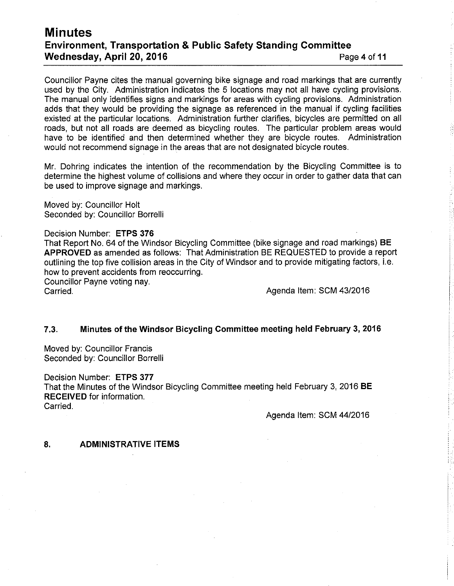## **Minutes** Environment, Transportation & Public Safety Standing Committee Wednesday, April 20, 2016 **Page 4 of 11** Page 4 of 11

Councillor Payne cites the manual governing bike signage and road markings that are currently used by the City. Administration indicates the 5 locations may not all have cycling provisions. The manual only identifies signs and markings for areas with cycling provisions. Administration adds that they would be providing the signage as referenced in the manual if cycling facilities existed at the particular locations. Administration further clarifies, bicycles are permitted on all roads, but not all roads are deemed as bicycling routes. The particular problem areas would have to be identified and then determined whether they are bicycle routes. Administration would not recommend signage in the areas that are not designated bicycle routes.

Mr. Dohring indicates the intention of the recommendation by the Bicycling Committee is to determine the highest volume of collisions and where they occur in order to gather data that can be used to improve signage and markings.

Moved by: Councillor Holt Seconded by: Councillor Borrelli

Decision Number: ETPS 376 That Report No. 64 of the Windsor Bicycling Committee (bike signage and road markings) BE APPROVED as amended as follows: That Administration BE REQUESTED to provide a report outlining the top five collision areas in the City of Windsor and to provide mitigating factors, i.e. how to prevent accidents from reoccurring. Councillor Payne voting nay. Agenda Item: SCM 43/2016

### 7.3. Minutes of the Windsor Bicycling Committee meeting held February 3, 2016

Moved by: Councillor Francis Seconded by: Councillor Borrelli

Decision Number: ETPS 377 That the Minutes of the Windsor Bicycling Committee meeting held February 3, 2016 BE RECEIVED for information. Carried.

Agenda ltem: SCM 4412016

### 8. ADMINISTRATIVE ITEMS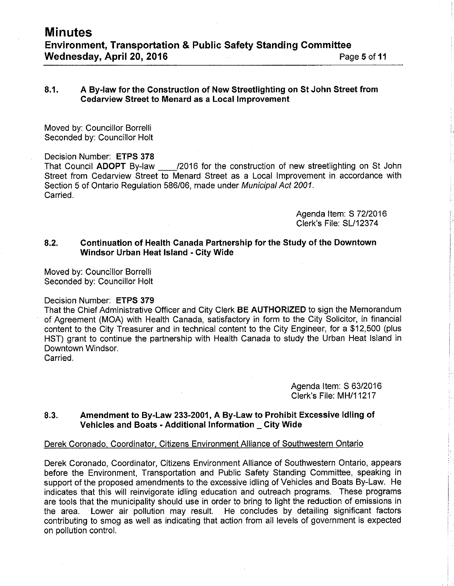### 8.1. <sup>A</sup>By-law for the Gonstruction of New Streetlighting on St John Street from Cedarview Street to Menard as a Local lmprovement

Moved by: Counciilor Borrelli Seconded by: Councillor Holt

Decision Number: ETPS 378 That Council ADOPT By-law 12016 for the construction of new streetlighting on St John Street from Cedarview Street to Menard Street as a Local lmprovement in accordance with Section 5 of Ontario Regulation 586/06, made under Municipal Act 2001. Carried.

> Agenda ltem: S 7212016 Clerk's File: 5L112374

### 8.2. Continuation of Health Canada Partnership for the Study of the Downtown Windsor Urban Heat lsland - City Wide

Moved by: Councillor Borrelli Seconded by: Councillor Holt

### Decision Number: ETPS 379

That the Chief Administrative Officer and City Clerk BE AUTHORIZED to sign the Memorandum of Agreement (MOA) with Health Canada, satisfactory in form to the City Solicitor, in financial content to the City Treasurer and in technical content to the City Engineer, for a \$12,500 (plus HST) grant to continue the partnership with Health Canada to study the Urban Heat lsland in Downtown Windsor.

Carried.

Agenda ltem: S 63/2016 Clerk's File: MH|11217

### 8.3. Amendment to By-Law 233-2001, A By-Law to Prohíbit Excessive ldling of Vehicles and Boats - Additional Information \_ City Wide

### Derek Coronado, Coordinator, Citizens Environment Alliance of Southwestern Ontario

Derek Coronado, Coordinator, Citizens Environment Alliance of Southwestern Ontario, appears before the Environment, Transportation and Public Safety Standing Committee, speaking in support of the proposed amendments to the excessive idling of Vehicles and Boats By-Law. He indicates that this will reinvigorate idling education and outreach programs. These programs are tools that the municipality should use in order to bring to light the reduction of emissions in the area. Lower air pollution may result. He concludes by detailing significant factors contributing to smog as well as indicating that action from all levels of government is expected on pollution control.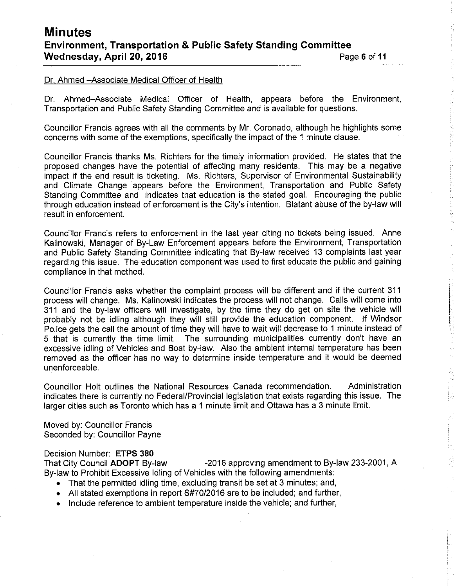### Dr. Ahmed - Associate Medical Officer of Health

Dr. Ahmed-Associate Medical Officer of Health, appears before the Environment, Transportation and Public Safety Standing Committee and is available for questions.

Councillor Francis agrees with all the comments by Mr. Coronado, although he highlights some concerns with some of the exemptions, specifically the impact of the 1 minute clause.

Councillor Francis thanks Ms. Richters for the timely information provided. He states that the proposed changes have the potential of affecting many residents. This may be a negative impact if the end result is ticketing. Ms. Richters, Supervisor of Environmental Sustainability and Climate Change appears before the Environment, Transportation and Public Safety Standing Committee and indicates that education is the stated goal. Encouraging the public through education instead of enforcement is the City's intention. Blatant abuse of the by-law will result in enforcement.

Councillor Francis refers to enforcement in the last year citing no tickets being issued. Anne Kalinowski, Manager of By-Law Enforcement appears before the Environment, Transportation and Public Safety Standing Committee indicating that By-law received 13 complaints last year regarding this issue. The education component was used to first educate the public and gaining compliance in that method.

Councillor Francis asks whether the complaint process will be different and if the current 31 <sup>1</sup> process will change. Ms. Kalinowski indicates the process will not change. Calls will come into 311 and the by-law officers will investigate, by the time they do get on site the vehicle will probably not be idling although they will still provide the education component. lf Windsor Police gets the call the amount of time they will have to wait will decrease to 1 minute instead of 5 that is currently the time limit. The surrounding municipalities currently don't have an excessive idling of Vehicles and Boat by-law. Also the ambient internal temperature has been removed as the officer has no way to determine inside temperature and it would be deemed unenforceable.

Councillor Holt outlines the National Resources Canada recommendation. Administration indicates there is currently no Federal/Provincial legislation that exists regarding this issue. The larger cities such as Toronto which has a 1 minute limit and Ottawa has a 3 minute limit.

Moved by: Councillor Francis Seconded by: Councillor Payne

### Decision Number: ETPS 380

That City Council ADOPT By-law -2016 approving amendment to By-law 233-2001, A By-law to Prohibit Excessive ldling of Vehicles with the following amendments:

- That the permitted idling time, excluding transit be set at 3 minutes; and,
- $\bullet$  All stated exemptions in report S#70/2016 are to be included; and further,
- Include reference to ambient temperature inside the vehicle; and further,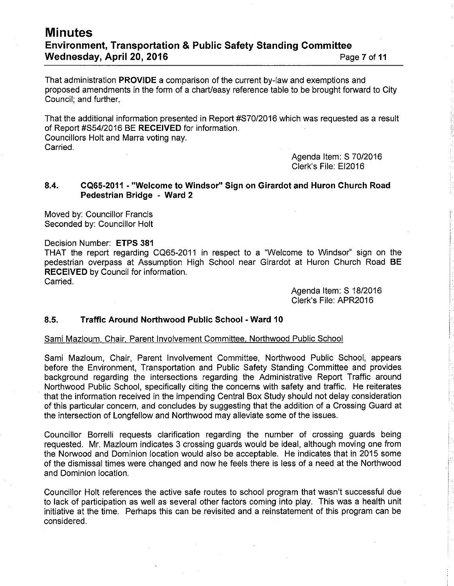## **Minutes** Environment, Transportation & Public Safety Standing Committee Wednesday, April 20, 2016 **Page 7 of 11** Page 7 of 11

That administration PROVIDE a comparison of the current by-law and exemptions and proposed amendments in the form of a chart/easy reference table to be brought forward to City Council; and further,

That the additional information presented in Report #570/2016 which was requested as a result of Report #S54/2016 BE RECEIVED for information.

Councillors Holt and Marra voting nay. Carried.

> Agenda ltem: S 7012016 Clerk's File: E12016

### 8.4. CQ65-2011 - "Welcome to Windsor" Sign on Girardot and Huron Church Road Pedestrian Bridge - Ward <sup>2</sup>

Moved by: Councillor Francis Seconded by: Councillor Holt

Decision Number: ETPS 381

THAT the report regarding CQ65-2011 in respect to a "Welcome to Windsor" sign on the pedestrian overpass at Assumption High School near Girardot at Huron Church Road BERECEIVED by Council for information. Carried.

> Agenda ltem: S 18/2016 Clerk's File: APR2016

### 8.5. Traffic Around Northwood Public School - Ward <sup>10</sup>

### Sami Mazloum. Chair. Parent lnvolvement Committee, Northwood Public School

Sami Mazloum, Chair, Parent lnvolvement Committee, Northwood Public School, appears before the Environment, Transportation and Public Safety Standing Committee and provides background regarding the intersections regarding the Administrative Report Traffic around Norihwood Public School, specifically citing the concerns with safety and traffic. He reiterates that the information received in the impending Central Box Study should not delay consideration of this particular concern, and concludes by suggesting that the addition of a Crossing Guard at the intersection of Longfellow and Northwood may alleviate some of the issues.

Councillor Borrelli requests clarification regarding the number of crossing guards being requested. Mr. Mazloum indicates 3 crossing guards would be ideal, although moving one from the Norwood and Dominion location would also be acceptable. He indicates that in 2015 some of the dismissal times were changed and now he feels ihere is less of a need at the Northwood and Dominion location.

Councillor Holt references the active safe routes to school program that wasn't successful due to lack of participation as well as several other factors coming into play. This was a health unit initiative at the time. Perhaps this can be revisited and a reinstatement of this program can be considered.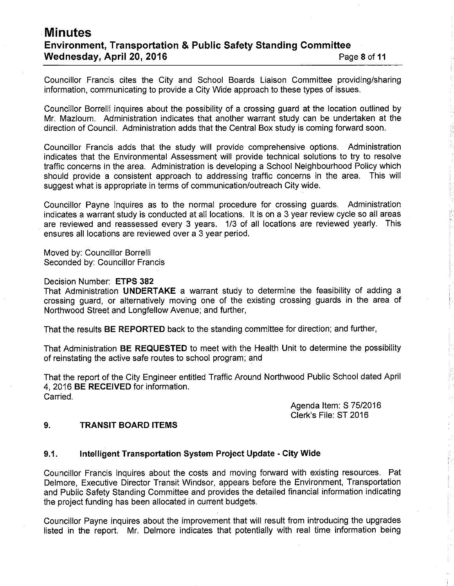## Minutes Environment, Transportation & Public Safety Standing Committee Wednesday, April 20, 2016 **Page 1 of the UV** of the Page 8 of 11

Councillor Francis cites the City and School Boards Liaison Committee providing/sharing information, communicating to provide a City Wide approach to these types of issues.

Councillor Borrelli inquires about the possibility of a crossing guard at the location outlined by Mr. Mazloum. Administration indicates that another warrant study can be undertaken at the direction of Council. Administration adds that the Central Box study is coming forward soon.

Councillor Francis adds that the study will provide comprehensive options. Administration indicates that the Environmental Assessment will provide technical solutions to try to resolve traffic concerns in the area. Administraiion is developing a School Neighbourhood Policy which should provide a consistent approach to addressing traffic concerns in the area. This will suggest what is appropriate in terms of communication/outreach City wide.

Councillor Payne inquires as to the normal procedure for crossing guards. Administration indicates a warrant study is conducted at all locations. lt is on a 3 year review cycle so all areas are reviewed and reassessed every 3 years. 1/3 of all locations are reviewed yearly. This ensures all locations are reviewed over a 3 year period.

Moved by: Councillor Borrelli Seconded by: Councillor Francis

Decision Number: ETPS 382

That Administration UNDERTAKE a warrant study to determine the feasibility of adding <sup>a</sup> crossing guard, or alternatively moving one of the existing crossing guards in the area of Northwood Street and Longfellow Avenue; and further,

That the results BE REPORTED back to the sianding committee for direction; and further,

That Administration BE REQUESTED to meet with the Health Unit to determine the possibility of reinstating the active safe routes to school program; and

That the report of the City Engineer entitled Traffic Around Northwood Public School dated April 4, 2016 BE RECEIVED for information. Carried.

> Agenda ltem: S 7512016 Clerk's File: ST 2016

### 9. TRANSIT BOARD ITEMS

### 9.1. Intelligent Transportation System Project Update - City Wide

Councillor Francis inquires about the costs and moving forward with existing resources. Pat Delmore, Executive Director Transit Windsor, appears before the Environment, Transportation and Public Safety Standing Committee and provides the detailed financial information indicating the project funding has been allocated in current budgets.

Councillor Payne inquires about the improvement that will result from introducing the upgrades listed in the report. Mr. Delmore indicates that potentially with real time information being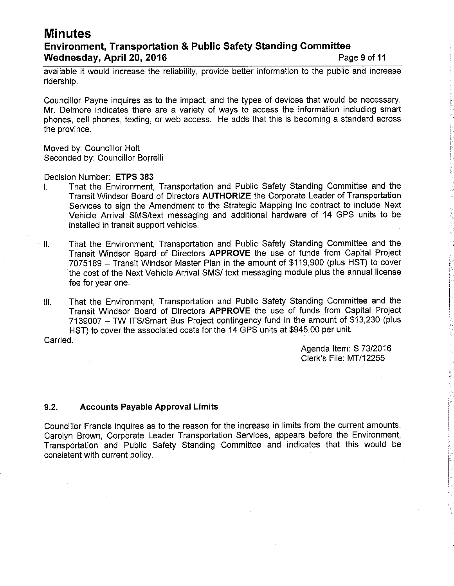## **Minutes**

## Environment, Transportation & Public Safety Standing Gommittee Wednesday, April 20, 2016 **Page 9 of 11** Page 9 of 11

available it would increase the reliability, provide better information to the public and increase ridership.

Councillor Payne inquires as to the impact, and the types of devices that would be necessary. Mr. Delmore indicates there are a variety of ways to access the information including smart phones, cell phones, texting, or web access. He adds that this is becoming a standard across the province.

Moved by: Councillor Holt Seconded by: Councillor Borrelli

Decision Number: ETPS 383

- l. That the Environment, Transportation and Public Safety Standing Committee and the Transit Windsor Board of Directors AUTHORIZE the Corporate Leader of Transportation Services to sign the Amendment to the Strategic Mapping lnc contract to include Next Vehicle Arrival SMS/text messaging and additional hardware of 14 GPS units to be installed in transit support vehicles.
- ll. That the Environment, Transportation and Public Safety Standing Committee and the Transit Windsor Board of Directors APPROVE the use of funds from Capital Project 7075189 - Transit Windsor Master Plan in the amount of \$119,900 (plus HST) to cover the cost of the Next Vehicle Arrival SMS/ text messaging module plus the annual license fee for year one.
- lll. That the Environment, Transportation and Public Safety Standing Committee and the Transit Windsor Board of Directors APPROVE ihe use of funds from Capital Project 7139007 - TW ITS/Smart Bus Project contingency fund in the amount of \$13,230 (plus HST) to cover the associated costs for the 14 GPS units at \$945.00 per unit.

Carried.

Agenda ltem: S 7312016 Clerk's File: MT/12255

### 9.2. Accounts Payable Approval Limits

Councillor Francis inquires as to the reason for the increase in limits from the current amounts. Carolyn Brown, Corporate Leader Transportation Services, appears before the Environment, Transportation and Public Safety Standing Committee and indicates that this would be consistent with current policy.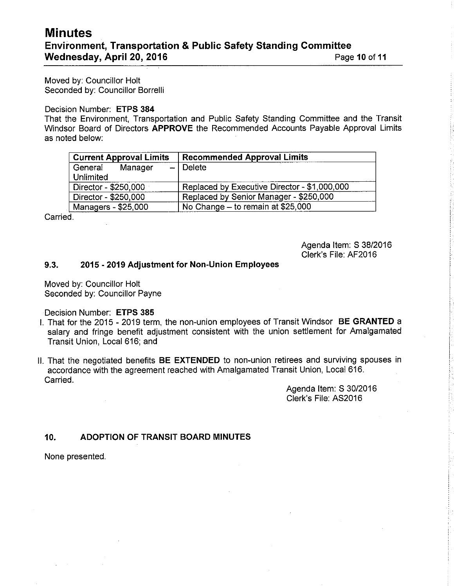## Minutes Environment, Transportation & Public Safety Standing Committee Wednesday, April 20, 2016 **Page 10 of 11** Page 10 of 11

Moved by: Councillor Holt Seconded by: Councillor Borrelli

### Decision Number: ETPS 384

That the Environment, Transportation and Public Safety Standing Committee and the Transit Windsor Board of Directors APPROVE the Recommended Accounts Payable Approval Limits as noted below:

| <b>Recommended Approval Limits</b>           |
|----------------------------------------------|
| $-$ Delete                                   |
|                                              |
| Replaced by Executive Director - \$1,000,000 |
| Replaced by Senior Manager - \$250,000       |
| No Change - to remain at \$25,000            |
|                                              |

Carried.

Agenda ltem: S 38/2016 Clerk's File: AF2016

### 9.3. 2015 - 2019 Adjustment for Non-Union Employees

Moved by: Councillor Holt Seconded by: Councillor Payne

Decision Number: ETPS 385

- l. That for the 2015 2019 term, the non-union employees of Transit Windsor BE GRANTED <sup>a</sup> salary and fringe benefit adjustment consistent with the union settlement for Amalgamated Transit Union, Local 616; and
- ll. That the negotiated benefits BE EXTENDED to non-union retirees and surviving spouses in accordance with the agreement reached with Amalgamated Transit Union, Local 616. Carried.

Agenda ltem: S 30/2016 Clerk's File: 452016

## 10. ADOPTION OF TRANSIT BOARD MINUTES

None presented.